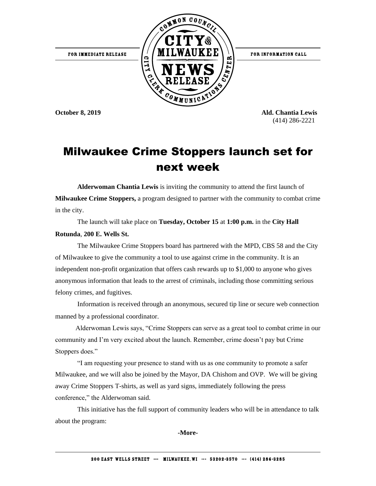

**October 8, 2019 Ald. Chantia Lewis** (414) 286-2221

## Milwaukee Crime Stoppers launch set for next week

**Alderwoman Chantia Lewis** is inviting the community to attend the first launch of **Milwaukee Crime Stoppers,** a program designed to partner with the community to combat crime in the city.

The launch will take place on **Tuesday, October 15** at **1:00 p.m.** in the **City Hall** 

## **Rotunda**, **200 E. Wells St.**

The Milwaukee Crime Stoppers board has partnered with the MPD, CBS 58 and the City of Milwaukee to give the community a tool to use against crime in the community. It is an independent non-profit organization that offers cash rewards up to \$1,000 to anyone who gives anonymous information that leads to the arrest of criminals, including those committing serious felony crimes, and fugitives.

Information is received through an anonymous, secured tip line or secure web connection manned by a professional coordinator.

 Alderwoman Lewis says, "Crime Stoppers can serve as a great tool to combat crime in our community and I'm very excited about the launch. Remember, crime doesn't pay but Crime Stoppers does."

"I am requesting your presence to stand with us as one community to promote a safer Milwaukee, and we will also be joined by the Mayor, DA Chishom and OVP. We will be giving away Crime Stoppers T-shirts, as well as yard signs, immediately following the press conference," the Alderwoman said.

This initiative has the full support of community leaders who will be in attendance to talk about the program:

**-More-**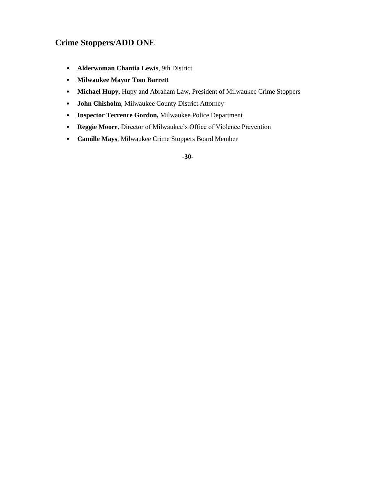## **Crime Stoppers/ADD ONE**

- **Alderwoman Chantia Lewis**, 9th District
- **Milwaukee Mayor Tom Barrett**
- **Michael Hupy**, Hupy and Abraham Law, President of Milwaukee Crime Stoppers
- **John Chisholm**, Milwaukee County District Attorney
- **Inspector Terrence Gordon,** Milwaukee Police Department
- **Reggie Moore**, Director of Milwaukee's Office of Violence Prevention
- **Camille Mays**, Milwaukee Crime Stoppers Board Member

**-30-**